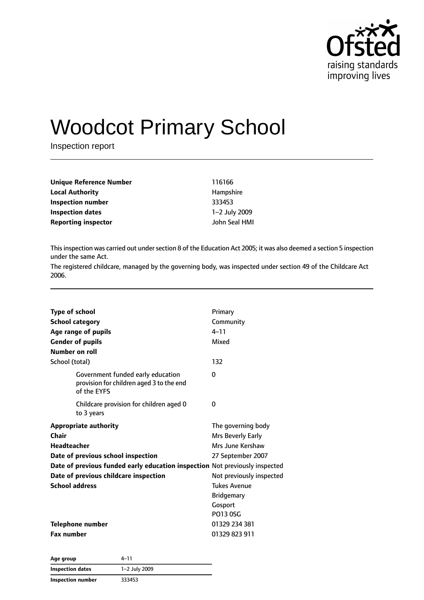

# Woodcot Primary School

Inspection report

| Unique Reference Number    | 116166        |
|----------------------------|---------------|
| <b>Local Authority</b>     | Hampshire     |
| Inspection number          | 333453        |
| <b>Inspection dates</b>    | 1-2 July 2009 |
| <b>Reporting inspector</b> | John Seal HMI |

This inspection was carried out under section 8 of the Education Act 2005; it was also deemed a section 5 inspection under the same Act.

The registered childcare, managed by the governing body, was inspected under section 49 of the Childcare Act 2006.

| <b>Type of school</b>                                                                        | Primary                  |
|----------------------------------------------------------------------------------------------|--------------------------|
| <b>School category</b>                                                                       | Community                |
| Age range of pupils                                                                          | $4 - 11$                 |
| <b>Gender of pupils</b>                                                                      | Mixed                    |
| Number on roll                                                                               |                          |
| School (total)                                                                               | 132                      |
| Government funded early education<br>provision for children aged 3 to the end<br>of the EYFS | $\Omega$                 |
| Childcare provision for children aged 0<br>to 3 years                                        | 0                        |
| <b>Appropriate authority</b>                                                                 | The governing body       |
| Chair                                                                                        | Mrs Beverly Early        |
| <b>Headteacher</b>                                                                           | Mrs June Kershaw         |
| Date of previous school inspection                                                           | 27 September 2007        |
| Date of previous funded early education inspection Not previously inspected                  |                          |
| Date of previous childcare inspection                                                        | Not previously inspected |
| <b>School address</b>                                                                        | <b>Tukes Avenue</b>      |
|                                                                                              | <b>Bridgemary</b>        |
|                                                                                              | Gosport                  |
|                                                                                              | <b>PO13 0SG</b>          |
| Telephone number                                                                             | 01329 234 381            |
| <b>Fax number</b>                                                                            | 01329 823 911            |
|                                                                                              |                          |

| Age group         | 4–11          |  |
|-------------------|---------------|--|
| Inspection dates  | 1-2 July 2009 |  |
| Inspection number | 333453        |  |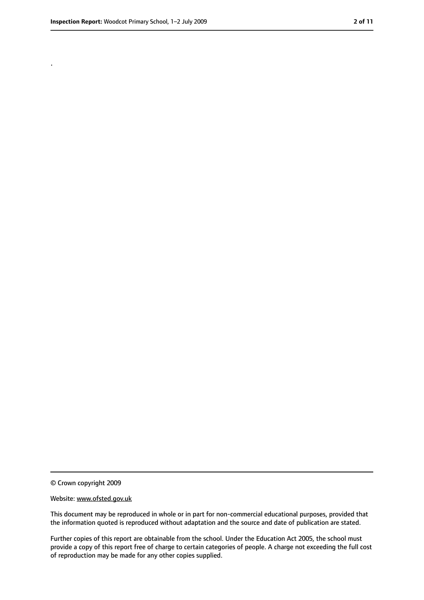.

<sup>©</sup> Crown copyright 2009

Website: www.ofsted.gov.uk

This document may be reproduced in whole or in part for non-commercial educational purposes, provided that the information quoted is reproduced without adaptation and the source and date of publication are stated.

Further copies of this report are obtainable from the school. Under the Education Act 2005, the school must provide a copy of this report free of charge to certain categories of people. A charge not exceeding the full cost of reproduction may be made for any other copies supplied.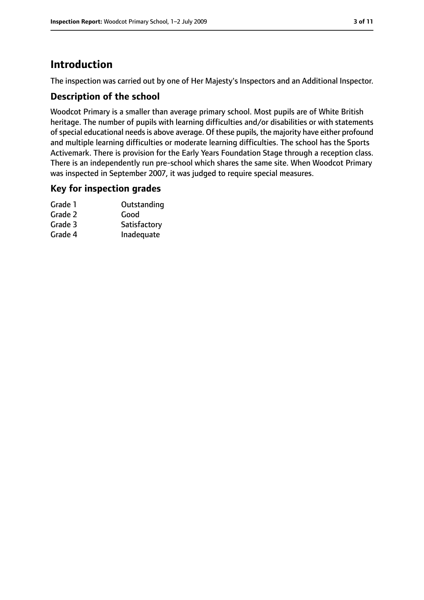# **Introduction**

The inspection was carried out by one of Her Majesty's Inspectors and an Additional Inspector.

## **Description of the school**

Woodcot Primary is a smaller than average primary school. Most pupils are of White British heritage. The number of pupils with learning difficulties and/or disabilities or with statements of special educational needs is above average. Of these pupils, the majority have either profound and multiple learning difficulties or moderate learning difficulties. The school has the Sports Activemark. There is provision for the Early Years Foundation Stage through a reception class. There is an independently run pre-school which shares the same site. When Woodcot Primary was inspected in September 2007, it was judged to require special measures.

#### **Key for inspection grades**

| Grade 1 | Outstanding  |
|---------|--------------|
| Grade 2 | Good         |
| Grade 3 | Satisfactory |
| Grade 4 | Inadequate   |
|         |              |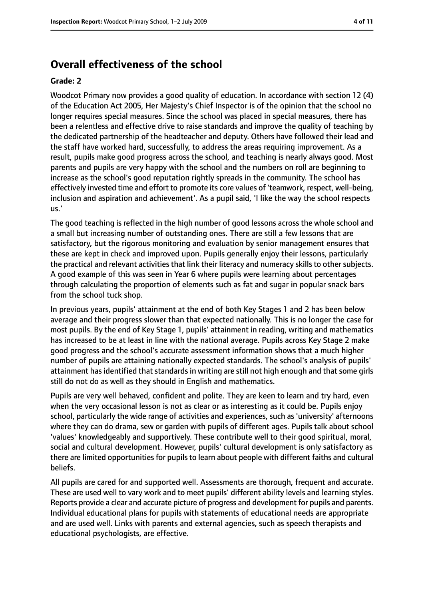# **Overall effectiveness of the school**

#### **Grade: 2**

Woodcot Primary now provides a good quality of education. In accordance with section 12 (4) of the Education Act 2005, Her Majesty's Chief Inspector is of the opinion that the school no longer requires special measures. Since the school was placed in special measures, there has been a relentless and effective drive to raise standards and improve the quality of teaching by the dedicated partnership of the headteacher and deputy. Others have followed their lead and the staff have worked hard, successfully, to address the areas requiring improvement. As a result, pupils make good progress across the school, and teaching is nearly always good. Most parents and pupils are very happy with the school and the numbers on roll are beginning to increase as the school's good reputation rightly spreads in the community. The school has effectively invested time and effort to promote its core values of 'teamwork, respect, well-being, inclusion and aspiration and achievement'. As a pupil said, 'I like the way the school respects us.'

The good teaching is reflected in the high number of good lessons across the whole school and a small but increasing number of outstanding ones. There are still a few lessons that are satisfactory, but the rigorous monitoring and evaluation by senior management ensures that these are kept in check and improved upon. Pupils generally enjoy their lessons, particularly the practical and relevant activities that link their literacy and numeracy skills to other subjects. A good example of this was seen in Year 6 where pupils were learning about percentages through calculating the proportion of elements such as fat and sugar in popular snack bars from the school tuck shop.

In previous years, pupils' attainment at the end of both Key Stages 1 and 2 has been below average and their progress slower than that expected nationally. This is no longer the case for most pupils. By the end of Key Stage 1, pupils' attainment in reading, writing and mathematics has increased to be at least in line with the national average. Pupils across Key Stage 2 make good progress and the school's accurate assessment information shows that a much higher number of pupils are attaining nationally expected standards. The school's analysis of pupils' attainment has identified that standards in writing are still not high enough and that some girls still do not do as well as they should in English and mathematics.

Pupils are very well behaved, confident and polite. They are keen to learn and try hard, even when the very occasional lesson is not as clear or as interesting as it could be. Pupils enjoy school, particularly the wide range of activities and experiences, such as 'university' afternoons where they can do drama, sew or garden with pupils of different ages. Pupils talk about school 'values' knowledgeably and supportively. These contribute well to their good spiritual, moral, social and cultural development. However, pupils' cultural development is only satisfactory as there are limited opportunities for pupils to learn about people with different faiths and cultural beliefs.

All pupils are cared for and supported well. Assessments are thorough, frequent and accurate. These are used well to vary work and to meet pupils' different ability levels and learning styles. Reports provide a clear and accurate picture of progress and development for pupils and parents. Individual educational plans for pupils with statements of educational needs are appropriate and are used well. Links with parents and external agencies, such as speech therapists and educational psychologists, are effective.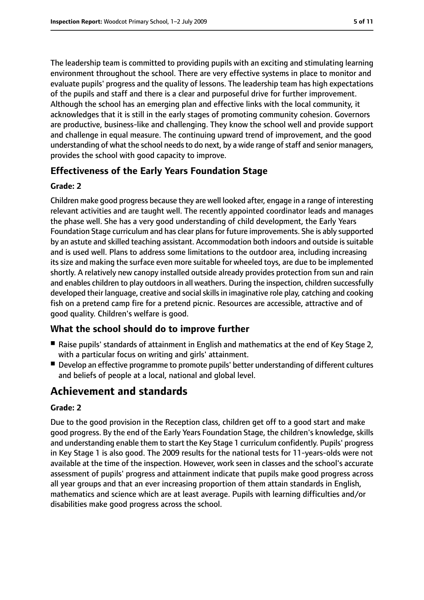The leadership team is committed to providing pupils with an exciting and stimulating learning environment throughout the school. There are very effective systems in place to monitor and evaluate pupils' progress and the quality of lessons. The leadership team has high expectations of the pupils and staff and there is a clear and purposeful drive for further improvement. Although the school has an emerging plan and effective links with the local community, it acknowledges that it is still in the early stages of promoting community cohesion. Governors are productive, business-like and challenging. They know the school well and provide support and challenge in equal measure. The continuing upward trend of improvement, and the good understanding of what the school needs to do next, by a wide range of staff and senior managers, provides the school with good capacity to improve.

## **Effectiveness of the Early Years Foundation Stage**

#### **Grade: 2**

Children make good progress because they are well looked after, engage in a range of interesting relevant activities and are taught well. The recently appointed coordinator leads and manages the phase well. She has a very good understanding of child development, the Early Years Foundation Stage curriculum and has clear plans for future improvements. She is ably supported by an astute and skilled teaching assistant. Accommodation both indoors and outside issuitable and is used well. Plans to address some limitations to the outdoor area, including increasing its size and making the surface even more suitable for wheeled toys, are due to be implemented shortly. A relatively new canopy installed outside already provides protection from sun and rain and enables children to play outdoors in all weathers. During the inspection, children successfully developed their language, creative and social skills in imaginative role play, catching and cooking fish on a pretend camp fire for a pretend picnic. Resources are accessible, attractive and of good quality. Children's welfare is good.

## **What the school should do to improve further**

- Raise pupils' standards of attainment in English and mathematics at the end of Key Stage 2, with a particular focus on writing and girls' attainment.
- Develop an effective programme to promote pupils' better understanding of different cultures and beliefs of people at a local, national and global level.

# **Achievement and standards**

#### **Grade: 2**

Due to the good provision in the Reception class, children get off to a good start and make good progress. By the end of the Early Years Foundation Stage, the children's knowledge, skills and understanding enable them to start the Key Stage 1 curriculum confidently. Pupils' progress in Key Stage 1 is also good. The 2009 results for the national tests for 11-years-olds were not available at the time of the inspection. However, work seen in classes and the school's accurate assessment of pupils' progress and attainment indicate that pupils make good progress across all year groups and that an ever increasing proportion of them attain standards in English, mathematics and science which are at least average. Pupils with learning difficulties and/or disabilities make good progress across the school.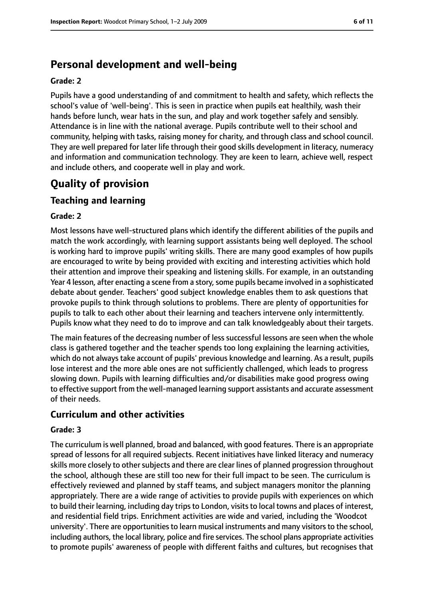# **Personal development and well-being**

#### **Grade: 2**

Pupils have a good understanding of and commitment to health and safety, which reflects the school's value of 'well-being'. This is seen in practice when pupils eat healthily, wash their hands before lunch, wear hats in the sun, and play and work together safely and sensibly. Attendance is in line with the national average. Pupils contribute well to their school and community, helping with tasks, raising money for charity, and through class and school council. They are well prepared for later life through their good skills development in literacy, numeracy and information and communication technology. They are keen to learn, achieve well, respect and include others, and cooperate well in play and work.

# **Quality of provision**

## **Teaching and learning**

#### **Grade: 2**

Most lessons have well-structured plans which identify the different abilities of the pupils and match the work accordingly, with learning support assistants being well deployed. The school is working hard to improve pupils' writing skills. There are many good examples of how pupils are encouraged to write by being provided with exciting and interesting activities which hold their attention and improve their speaking and listening skills. For example, in an outstanding Year 4 lesson, after enacting a scene from a story, some pupils became involved in a sophisticated debate about gender. Teachers' good subject knowledge enables them to ask questions that provoke pupils to think through solutions to problems. There are plenty of opportunities for pupils to talk to each other about their learning and teachers intervene only intermittently. Pupils know what they need to do to improve and can talk knowledgeably about their targets.

The main features of the decreasing number of less successful lessons are seen when the whole class is gathered together and the teacher spends too long explaining the learning activities, which do not always take account of pupils' previous knowledge and learning. As a result, pupils lose interest and the more able ones are not sufficiently challenged, which leads to progress slowing down. Pupils with learning difficulties and/or disabilities make good progress owing to effective support from the well-managed learning support assistants and accurate assessment of their needs.

#### **Curriculum and other activities**

#### **Grade: 3**

The curriculum is well planned, broad and balanced, with good features. There is an appropriate spread of lessons for all required subjects. Recent initiatives have linked literacy and numeracy skills more closely to other subjects and there are clear lines of planned progression throughout the school, although these are still too new for their full impact to be seen. The curriculum is effectively reviewed and planned by staff teams, and subject managers monitor the planning appropriately. There are a wide range of activities to provide pupils with experiences on which to build their learning, including day trips to London, visits to local towns and places of interest, and residential field trips. Enrichment activities are wide and varied, including the 'Woodcot university'. There are opportunities to learn musical instruments and many visitors to the school, including authors, the local library, police and fire services. The school plans appropriate activities to promote pupils' awareness of people with different faiths and cultures, but recognises that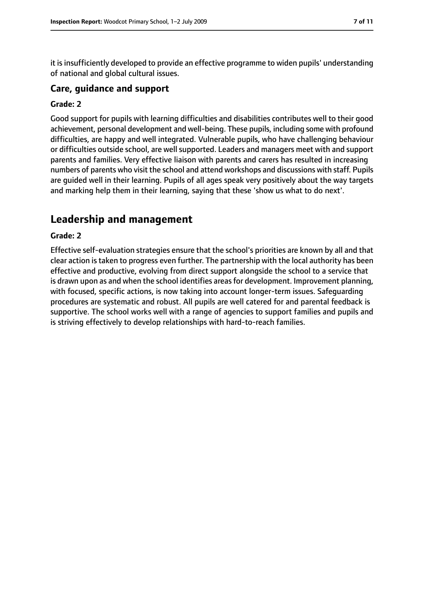it is insufficiently developed to provide an effective programme to widen pupils' understanding of national and global cultural issues.

### **Care, guidance and support**

#### **Grade: 2**

Good support for pupils with learning difficulties and disabilities contributes well to their good achievement, personal development and well-being. These pupils, including some with profound difficulties, are happy and well integrated. Vulnerable pupils, who have challenging behaviour or difficulties outside school, are well supported. Leaders and managers meet with and support parents and families. Very effective liaison with parents and carers has resulted in increasing numbers of parents who visit the school and attend workshops and discussions with staff. Pupils are guided well in their learning. Pupils of all ages speak very positively about the way targets and marking help them in their learning, saying that these 'show us what to do next'.

# **Leadership and management**

#### **Grade: 2**

Effective self-evaluation strategies ensure that the school's priorities are known by all and that clear action is taken to progress even further. The partnership with the local authority has been effective and productive, evolving from direct support alongside the school to a service that is drawn upon as and when the school identifies areas for development. Improvement planning, with focused, specific actions, is now taking into account longer-term issues. Safeguarding procedures are systematic and robust. All pupils are well catered for and parental feedback is supportive. The school works well with a range of agencies to support families and pupils and is striving effectively to develop relationships with hard-to-reach families.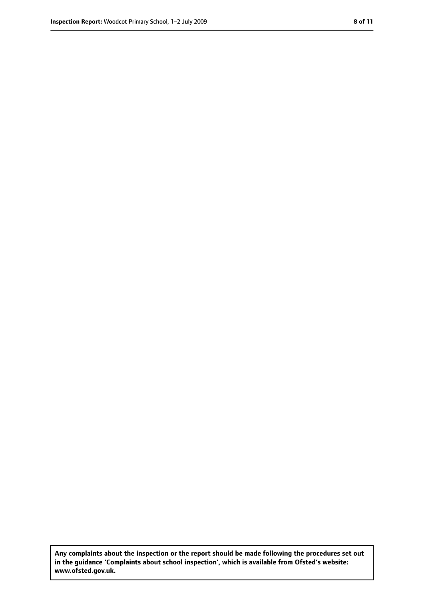**Any complaints about the inspection or the report should be made following the procedures set out in the guidance 'Complaints about school inspection', which is available from Ofsted's website: www.ofsted.gov.uk.**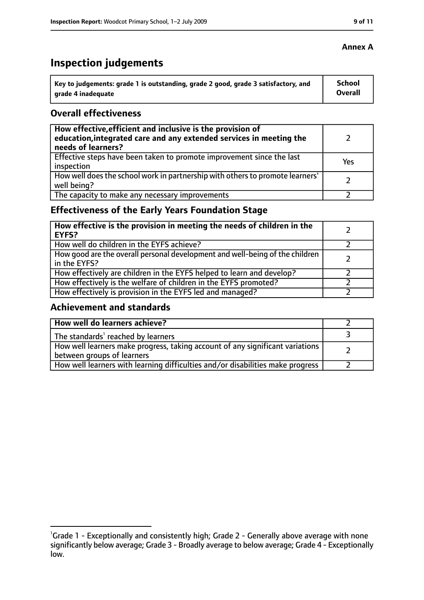# **Inspection judgements**

| key to judgements: grade 1 is outstanding, grade 2 good, grade 3 satisfactory, and ا | School         |
|--------------------------------------------------------------------------------------|----------------|
| arade 4 inadequate                                                                   | <b>Overall</b> |

## **Overall effectiveness**

| How effective, efficient and inclusive is the provision of<br>education, integrated care and any extended services in meeting the<br>needs of learners? |     |
|---------------------------------------------------------------------------------------------------------------------------------------------------------|-----|
| Effective steps have been taken to promote improvement since the last<br>inspection                                                                     | Yes |
| How well does the school work in partnership with others to promote learners'<br>well being?                                                            |     |
| The capacity to make any necessary improvements                                                                                                         |     |

# **Effectiveness of the Early Years Foundation Stage**

| How effective is the provision in meeting the needs of children in the<br>l EYFS?            |  |
|----------------------------------------------------------------------------------------------|--|
| How well do children in the EYFS achieve?                                                    |  |
| How good are the overall personal development and well-being of the children<br>in the EYFS? |  |
| How effectively are children in the EYFS helped to learn and develop?                        |  |
| How effectively is the welfare of children in the EYFS promoted?                             |  |
| How effectively is provision in the EYFS led and managed?                                    |  |

#### **Achievement and standards**

| How well do learners achieve?                                                  |  |
|--------------------------------------------------------------------------------|--|
| $\vert$ The standards <sup>1</sup> reached by learners                         |  |
| How well learners make progress, taking account of any significant variations  |  |
| between groups of learners                                                     |  |
| How well learners with learning difficulties and/or disabilities make progress |  |

## **Annex A**

<sup>&</sup>lt;sup>1</sup>Grade 1 - Exceptionally and consistently high; Grade 2 - Generally above average with none significantly below average; Grade 3 - Broadly average to below average; Grade 4 - Exceptionally low.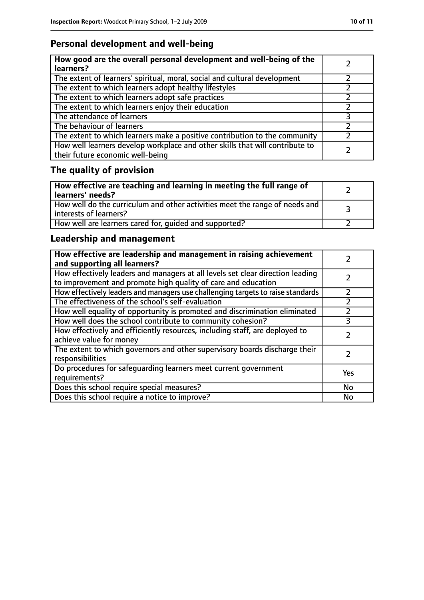# **Personal development and well-being**

| How good are the overall personal development and well-being of the<br>learners?                                 |  |
|------------------------------------------------------------------------------------------------------------------|--|
| The extent of learners' spiritual, moral, social and cultural development                                        |  |
| The extent to which learners adopt healthy lifestyles                                                            |  |
| The extent to which learners adopt safe practices                                                                |  |
| The extent to which learners enjoy their education                                                               |  |
| The attendance of learners                                                                                       |  |
| The behaviour of learners                                                                                        |  |
| The extent to which learners make a positive contribution to the community                                       |  |
| How well learners develop workplace and other skills that will contribute to<br>their future economic well-being |  |

# **The quality of provision**

| How effective are teaching and learning in meeting the full range of<br>learners' needs?              |  |
|-------------------------------------------------------------------------------------------------------|--|
| How well do the curriculum and other activities meet the range of needs and<br>interests of learners? |  |
| How well are learners cared for, quided and supported?                                                |  |

# **Leadership and management**

| How effective are leadership and management in raising achievement<br>and supporting all learners?                                              |     |
|-------------------------------------------------------------------------------------------------------------------------------------------------|-----|
| How effectively leaders and managers at all levels set clear direction leading<br>to improvement and promote high quality of care and education |     |
| How effectively leaders and managers use challenging targets to raise standards                                                                 |     |
| The effectiveness of the school's self-evaluation                                                                                               |     |
| How well equality of opportunity is promoted and discrimination eliminated                                                                      |     |
| How well does the school contribute to community cohesion?                                                                                      | 3   |
| How effectively and efficiently resources, including staff, are deployed to<br>achieve value for money                                          |     |
| The extent to which governors and other supervisory boards discharge their<br>responsibilities                                                  |     |
| Do procedures for safeguarding learners meet current government<br>requirements?                                                                | Yes |
| Does this school require special measures?                                                                                                      | No  |
| Does this school require a notice to improve?                                                                                                   | No  |